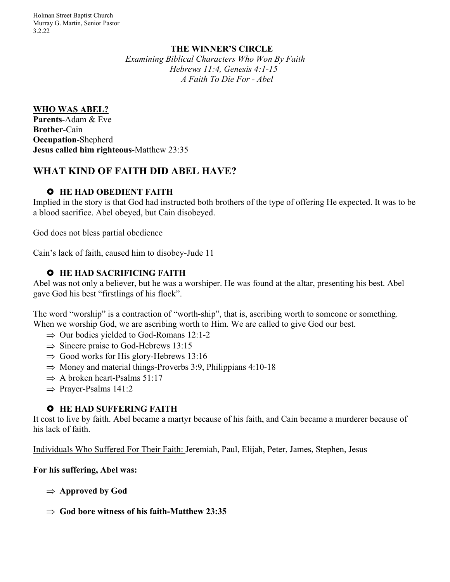## **THE WINNER'S CIRCLE**

*Examining Biblical Characters Who Won By Faith Hebrews 11:4, Genesis 4:1-15 A Faith To Die For - Abel*

#### **WHO WAS ABEL?**

**Parents**-Adam & Eve **Brother**-Cain **Occupation**-Shepherd **Jesus called him righteous**-Matthew 23:35

# **WHAT KIND OF FAITH DID ABEL HAVE?**

# £ **HE HAD OBEDIENT FAITH**

Implied in the story is that God had instructed both brothers of the type of offering He expected. It was to be a blood sacrifice. Abel obeyed, but Cain disobeyed.

God does not bless partial obedience

Cain's lack of faith, caused him to disobey-Jude 11

## $\bullet$  **HE HAD SACRIFICING FAITH**

Abel was not only a believer, but he was a worshiper. He was found at the altar, presenting his best. Abel gave God his best "firstlings of his flock".

The word "worship" is a contraction of "worth-ship", that is, ascribing worth to someone or something. When we worship God, we are ascribing worth to Him. We are called to give God our best.

- $\Rightarrow$  Our bodies yielded to God-Romans 12:1-2
- $\Rightarrow$  Sincere praise to God-Hebrews 13:15
- $\Rightarrow$  Good works for His glory-Hebrews 13:16
- $\Rightarrow$  Money and material things-Proverbs 3:9, Philippians 4:10-18
- $\Rightarrow$  A broken heart-Psalms 51:17
- $\Rightarrow$  Prayer-Psalms 141:2

#### £ **HE HAD SUFFERING FAITH**

It cost to live by faith. Abel became a martyr because of his faith, and Cain became a murderer because of his lack of faith.

Individuals Who Suffered For Their Faith: Jeremiah, Paul, Elijah, Peter, James, Stephen, Jesus

#### **For his suffering, Abel was:**

- $\Rightarrow$  Approved by God
- $\Rightarrow$  God bore witness of his faith-Matthew 23:35